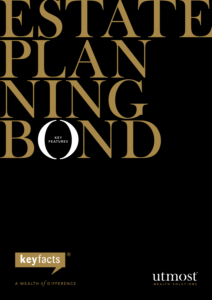



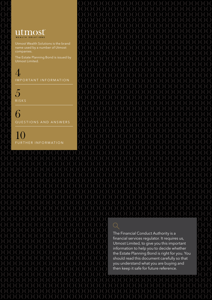### utmost WEALTH SOLUTIONS

Utmost Wealth Solutions is the brand name used by a number of Utmost companies.

The Estate Planning Bond is issued by Utmost Limited.

 $\angle$ IMPORTANT INFORMATION

5 **RISKS** 

6 QUESTIONS AND ANSWERS

10 FURTHER INFORMATION  $\bigcirc$ The Financial Conduct Authority is a financial services regulator. It requires us,

Utmost Limited, to give you this important information to help you to decide whether the Estate Planning Bond is right for you. You should read this document carefully so that you understand what you are buying and then keep it safe for future reference.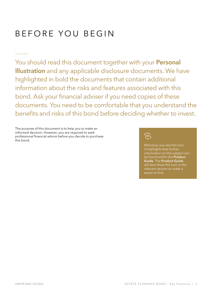# B efore you begin

You should read this document together with your Personal Illustration and any applicable disclosure documents. We have highlighted in bold the documents that contain additional information about the risks and features associated with this bond. Ask your financial adviser if you need copies of these documents. You need to be comfortable that you understand the benefits and risks of this bond before deciding whether to invest.

The purpose of this document is to help you to make an informed decision. However, you are required to seek professional financial advice before you decide to purchase this bond.



Wherever you see this icon it highlights that further information on the subject can be found within the Product Guide. The Product Guide will also show this icon in the relevant section to make it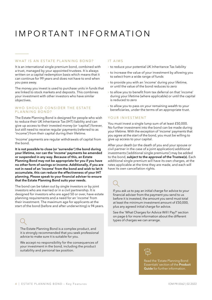# I mportant I nformation

#### WHAT IS AN ESTATE PLANNING BOND?

It is an international single premium bond, combined with a trust, managed by your appointed trustees. It is always written on a capital redemption basis which means that it can continue for 99 years and does not have to end when you pass away.

The money you invest is used to purchase units in funds that are linked to stock markets and deposits. This combines your investment with other investors who have similar objectives.

#### WHO SHOULD CONSIDER THE ESTATE PLANNING BOND?

The Estate Planning Bond is designed for people who wish to reduce their UK Inheritance Tax (IHT) liability and can give up access to their invested money (or 'capital') forever, but still need to receive regular payments (referred to as 'income') from their capital during their lifetime.

'Income' payments are regular withdrawals of capital from the bond.

It is not possible to close (or 'surrender') the bond during your lifetime, nor can the 'income' payments be amended or suspended in any way. Because of this, an Estate Planning Bond may not be appropriate for you if you have no other form of savings or income. Additionally, if you are not in need of an 'income' from the bond and wish to let it accumulate, this can reduce the effectiveness of your IHT planning. Please speak to your financial adviser to ensure that the Estate Planning Bond suits your needs.

The bond can be taken out by single investors or by joint investors who are married or in a civil partnership. It is designed for investors who are aged 50 or over, have estate planning requirements and a need for an 'income' from their investment. The maximum age for applicants at the start of the bond (before and after underwriting) is 94 years.

The Estate Planning Bond is a complex product, and it is strongly recommended that you seek professional advice to make sure it is suitable for you.

We accept no responsibility for the consequences of your investment in the bond, including the product suitability and personal tax position.

#### IT AIMS

- $\rightarrow$  to reduce your potential UK Inheritance Tax liability
- $\rightarrow$  to increase the value of your investment by allowing you to select from a wide range of funds
- $\rightarrow$  to provide you with an 'income' during your lifetime, or until the value of the bond reduces to zero
- › to allow you to benefit from tax deferral on that 'income' during your lifetime (where applicable) or until the capital is reduced to zero
- $\rightarrow$  to allow you to pass on your remaining wealth to your beneficiaries, under the terms of an appropriate trust.

#### YOUR INVESTMENT

You must invest a single lump sum of at least £50,000. No further investment into the bond can be made during your lifetime. With the exception of 'income' payments that you agree at the start of the bond, you must be willing to give up access to your capital.

After your death (or the death of you and your spouse or civil partner in the case of a joint application) additional investments ('additional single premiums') may be added to the bond, subject to the approval of the Trustee(s). Each additional single premium will have its own charges, at the rates applicable at the time they are made, and each will have its own cancellation rights.

If you ask us to pay an initial charge for advice to your financial adviser from the payment you send to us before it is invested, the amount you send must total at least the minimum investment amount of £50,000, plus any agreed initial charge for advice.

See the 'What Charges for Advice Will I Pay?' section on page 6 for more information about the different types of charges we can arrange.



Read the 'Estate Planning Bond Essentials' section of the Product Guide for further information.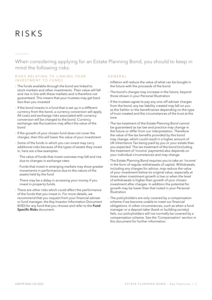### R isks

When considering applying for an Estate Planning Bond, you should to keep in mind the following risks:

#### RISKS RELATING TO LINKING YOUR INVESTMENT TO FUNDS

- › The funds available through the bond are linked to stock markets and other investments. Their value will fall and rise in line with these markets and is therefore not guaranteed. This means that your trustees may get back less than you invested
- $\rightarrow$  If the bond invests in a fund that is set up in a different currency from the bond, a currency conversion will apply. All costs and exchange risks associated with currency conversion will be charged to the bond. Currency exchange rate fluctuations may affect the value of the bond
- › If the growth of your chosen fund does not cover the charges, then this will lower the value of your investment
- $\rightarrow$  Some of the funds in which you can invest may carry additional risks because of the types of assets they invest in, here are a few examples:
- The value of funds that invest overseas may fall and rise due to changes in exchange rates
- Funds that invest in emerging markets may show greater movements in performance due to the nature of the assets held by the fund
- There may be a delay in accessing your money if you invest in property funds.
- > There are other risks which could affect the performance of the funds that you invest in. For more details, we recommend that you request from your financial adviser or fund manager, the Key Investor Information Document (KIID) for any fund that you choose and refer to the Fund Specific Risks document.

#### **GENERAL**

- › Inflation will reduce the value of what can be bought in the future with the proceeds of the bond
- $\rightarrow$  The bond's charges may increase in the future, beyond those shown in your Personal Illustration
- › If the trustees agree to pay any one-off adviser charges from the bond, any tax liability created may fall on you as the Settlor or the beneficiaries depending on the type of trust created and the circumstances of the trust at the time
- › The tax treatment of the Estate Planning Bond cannot be guaranteed as tax law and practice may change in the future or differ from our interpretation. Therefore the value of the tax benefits provided by this bond may change, which could result in a higher amount of UK Inheritance Tax being paid by you or your estate than you expected. The tax treatment of the bond (including the treatment of 'income' payments) also depends on your individual circumstances and may change
- › The Estate Planning Bond requires you to take an 'income' in the form of regular withdrawals of capital. Withdrawals, including any charges for advice, may reduce the value of your investment below its original value, especially at times when investment growth is low or when the level of withdrawals is higher than growth of your chosen investment after charges. In addition the potential for growth may be lower than that noted in your Personal Illustration
- $\rightarrow$  The policyholders are only covered by a compensation scheme if we become unable to meet our financial obligations. In other circumstances, such as when a fund manager or a deposit taker (bank or building society) fails, our policyholders will not normally be covered by a compensation scheme. See the 'Compensation' section in this document for further information.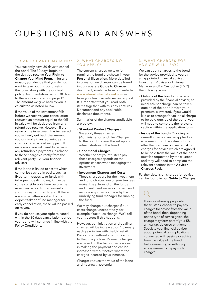# Q uestions and A nswers

### 1. CAN I CHANGE MY MIND?

You currently have 30 days to cancel the bond. The 30 days begin on the day you receive Your Right to Change Your Mind Form. If, for any reason, you decide that you do not want to take out this bond, return the form, along with the original policy documentation, within 30 days to the address stated on page 12. The amount we give back to you is calculated as noted below.

If the value of the investment falls before we receive your cancellation request, an amount equal to the fall in value will be deducted from any refund you receive. However, if the value of the investment has increased you will only get back the amount you originally invested, minus any charges for advice already paid. If necessary, you will need to reclaim any refundable payments in relation to these charges directly from the relevant party (i.e. your financial adviser).

If the bond is linked to assets which cannot be cashed in easily, such as fixed-term deposits or funds with infrequent dealing days, it may be some considerable time before the asset can be sold or redeemed and your money returned to you. If there are any penalties applied by the deposit taker or fund manager for early cancellation, these will be passed on to you.

If you do not use your right to cancel within the 30 days cancellation period your bond will continue in line with the Policy Conditions.

#### 2 . W hat charges do YOU APPLY?

The current charges we take for running the bond are shown in your Personal Illustration. More detailed information on charges can be found in our separate Guide to Charges document, available from our website www.utmostinternational.com or from your financial adviser on request. It is important that you read both items together with this Key Features Document and any applicable disclosure documents.

Summaries of the charges applicable are below:

- › Standard Product Charges We apply these charges (Administration and Flex-Charge) to the bond to cover the set up and administration of the bond
- › Conditional Charges Whether or not your trustees pay these charges depends on the options chosen when managing the investment
- › Investment Charges and Costs These charges are for the investment and fund choices you or your trustees make. They depend on the funds and investment services chosen, and include any charges made by the underlying fund manager for running the fund.

We may change our charges if our costs change unexpectedly, for example if tax rules change. We'll tell your trustees if this happens.

However, administration and dealing charges will be increased on 1 January each year in line with the UK Retail Prices Index without any notification to the policyholder. Payment charges are based on the bank charge we incur in making the payment and can be increased without notice where the charges incurred by us increase.

Charges reduce the value of the bond and its growth potential.

#### 3. WHAT CHARGES FOR A D V I C E W I L L I PAY?

We can apply charges to the bond for the advice provided to you by an appointed financial adviser, Investment Adviser or External Manager and/or Custodian (EMC) in the following ways:

- **Outside of the bond** for advice provided by the financial adviser, an initial adviser charge can be taken outside of the bond before your premium is invested. If you would like us to arrange for an initial charge to be paid outside of the bond, you will need to complete the relevant section within the application form
- Inside of the bond Ongoing or one-off charges can be applied as a payment from the value of bond after the premium is invested. Any charges for advice which are agreed to be paid from the value of the bond must be requested by the trustees and they will need to complete the relevant sections in the Adviser Charges Pack.

Further details on charges for advice can be found in our Guide to Charges.

If you, or where appropriate the trustees, choose to pay any charges for advice from the value of the bond, then, depending on the type of advice given, the charge may form part of your 5% annual tax-deferred entitlement. Speak to your financial adviser about potential tax implications connected with paying for advice from the value of the bond, before investing or setting up any agreements to pay such charges.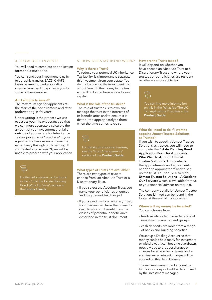#### 4. HOW DO I INVEST?

You will need to complete an application form and a trust deed.

You can send your investment to us by telegraphic transfer, BACS, CHAPS, faster payments, banker's draft or cheque. Your bank may charge you for some of these services.

#### Am I eligible to invest?

The maximum age for applicants at the start of the bond (before and after underwriting) is 94 years.

Underwriting is the process we use to assess your life expectancy so that we can more accurately calculate the amount of your investment that falls outside of your estate for Inheritance Tax purposes. Your 'rated age' is your age after we have assessed your life expectancy through underwriting. If your 'rated age' is over 94, we will be unable to proceed with your application.



Further information can be found in the 'Could the Estate Planning Bond Work For You?' section in the **Product Guide**.

#### 5. HOW DOES MY BOND WORK?

#### Why is there a Trust?

To reduce your potential UK Inheritance Tax liability, it is important to separate this investment from your estate. You do this by placing the investment into a trust. You gift the money to the trust and will no longer have access to your capital.

#### What is the role of the trustees?

The role of trustees is to own and manage the trust in the interests of its beneficiaries and to ensure it is distributed appropriately to them when the time comes to do so.



For details on choosing trustees, see the 'Trust Arrangements' section of the Product Guide.

#### What types of Trusts are available? There are two types of trust to choose from: an Absolute Trust or a Discretionary Trust.

- › If you select the Absolute Trust, you name your beneficiaries at outset and they cannot be changed
- › If you select the Discretionary Trust, your trustees will have the power to decide who is to benefit from the classes of potential beneficiaries described in the trust document.

#### How are the Trusts taxed?

It will depend on whether you have chosen an Absolute Trust or a Discretionary Trust and where your trustees or beneficiaries are resident or otherwise subject to tax.



You can find more information on this in the 'What Are The UK Tax Implications?' section in the Product Guide.

#### What do I need to do if I want to appoint Utmost Trustee Solutions as Trustee?

If you wish to appoint Utmost Trustee Solutions as trustee, you will need to complete the Estate Planning Bond Application Form for Applicants Who Wish to Appoint Utmost Trustee Solutions. This contains the appointments and agreements needed to appoint them and to set up the trust. You should also read Utmost Trustee Solutions — A Guide to Our Services which is available from us or your financial adviser on request.

The company details for Utmost Trustee Solutions Limited can be found in the footer at the end of this document.

#### Where will my money be invested? You can choose from:

- › funds available from a wide range of investment management groups
- › cash deposits available from a range of banks and building societies.

We set up a Dealing Account so that money can be held ready for investment or withdrawal. It can become overdrawn, possibly due to product charges or charges for advice being taken, and in such instances interest charges will be applied on this debit balance.

The minimum investment amount per fund or cash deposit will be determined by the investment manager.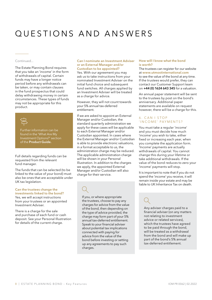# Q uestions and A nswers

#### Continued...

The Estate Planning Bond requires that you take an 'income' in the form of withdrawals of capital. Certain funds may have a longer notice period before any withdrawals can be taken, or may contain clauses in the fund prospectus that could delay withdrawing money in certain circumstances. These types of funds may not be appropriate for this product.



Further information can be found in the 'What Are My Investment Options?' section of the Product Guide.

Full details regarding funds can be requested from the relevant fund manager.

The funds that can be selected (to be linked to the value of your bond) must also be ones that are acceptable under UK tax legislation.

#### Can the trustees change the investments linked to the bond?

Yes, we will accept instructions from your trustees or an appointed Investment Adviser.

There is a charge for the sale and purchase of each fund or cash deposit. See your Personal Illustration for details of the current charge.

#### Can I nominate an Investment Adviser or an External Manager and/or Custodian to be appointed?

Yes. With our agreement you may ask us to take instructions from your nominated Investment Adviser on the initial fund choice and subsequent fund switches. All charges applied by an Investment Adviser will be treated as a charge for advice.

However, they will not count towards your 5% annual tax-deferred entitlement.

If we are asked to appoint an External Manager and/or Custodian, the standard quarterly administration we apply for these cases will be applicable to each External Manager and/or Custodian appointed. In cases where the External Manager and/or Custodian is able to provide electronic valuations, in a format acceptable to us, the administration charge may be reduced. The applicable administration charge will be shown in your Personal Illustration. In addition to the charges we apply, the appointed External Manager and/or Custodian will also charge for their service.

If you, or where appropriate the trustees, choose to pay any charges for advice from the value of the bond, then depending on the type of advice provided, the charge may form part of your 5% annual tax-deferred entitlement. Speak to your financial adviser about potential tax implications connected with paying for advice from the value of the bond before investing or setting up any agreements to pay such charges.

#### How will I know what the bond is worth?

The trustees can register for our website at www.utmostinternational.com to see the value of the bond at any time. If the trustees would prefer, they can contact our Customer Support team on +44 (0) 1624 643 345 for a valuation.

An annual paper statement will be sent to the trustees by post on the bond's anniversary. Additional paper statements are available on request however, there will be a charge for this.

#### 6 . C an I stop ' INCOME' PAYMENTS?

You must take a regular 'income' and you must decide how much 'income' you wish to take, either fixed or increasing each year, when you complete the application form. 'Income' payments are actually withdrawals of capital. You cannot change this during your lifetime or take additional withdrawals. If the value of the bond reduces to zero your 'income' payments will stop.

It is important to note that if you do not spend the 'income' you receive, it will remain inside your estate and may be liable to UK Inheritance Tax on death.

Any adviser charges paid to a financial adviser (on any matters not relating to investment advice or related services), which the trustees have agreed to be paid through the bond, will be treated as a withdrawal from the bond and will make up part of the bond's 5% annual tax-deferred entitlement.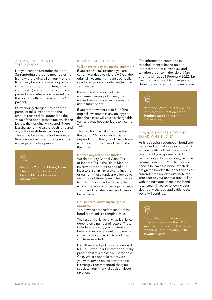#### 7. C an I surrender THE BOND?

No, you cannot surrender the bond. Surrendering the bond means closing it and withdrawing all of your money. It can only be surrendered or partially surrendered by your trustees, after your death (or after both of you have passed away, where you have set up the bond jointly with your spouse/civil partner).

Outstanding charges may apply on partial or full surrenders and the amount received will depend on the value of the bond at that time which can be less than originally invested. There is a charge for the sale of each fund and any withdrawals from cash deposits. There may be a charge for breaking a fixed deposit early or for not providing any required notice period.



Read the 'Getting Money From The Bond' section of the Product Guide for more information.

#### 8. WHAT ABOUT TAX?

#### Will I have to pay tax on the 'income'?

If you are a UK tax resident, you are currently entitled to withdraw 5% of the original investment amount each policy year for 20 years and defer any Income Tax payable.

If you do not take your full 5% entitlement in any policy year, the unused amount is carried forward for use in future years.

If you withdraw more than 5% of the original investment in any policy year then the excess will cause a chargeable gain and may become liable to Income Tax.

This liability may fall on you as the the Settlor/Donor or beneficiaries depending on the type of trust chosen and the circumstances of the trust at that time.

#### Is there any tax on the funds?

We do not pay Capital Gains Tax or Income Tax in the Isle of Man on investments held on behalf of our investors, so any investment, income or gains in these funds are allowed to grow free of these taxes. The only tax to which funds may be liable is that which is taken at source together with stamp and transfer taxes, and cannot be reclaimed.

#### Do I need to know anything else about tax?

Yes, how the proceeds taken from the bond are taxed is a complex issue.

The responsibility for any tax liability can depend on a number of factors. These include where you, your trustees and beneficiaries are resident or otherwise subject to tax and which type of trust you have selected.

For UK resident policyholders we will tell HM Revenue & Customs about any proceeds if this creates a Chargeable Gain. We are not able to provide you with advice on tax matters so it is strongly recommended that you speak to your financial adviser about taxation.

The information contained in this document is based on our interpretation of current law and taxation practice in the Isle of Man and the UK, as at 1 February 2022. Tax treatment is subject to change and depends on individual circumstances.



Read the 'What Are The UK Tax Implications?' section of the Product Guide for further information.

#### 9. What happens to the bond when I die?

As it is a capital redemption bond and has a fixed term of 99 years, it doesn't end on death. Following your death (and that of your spouse or civil partner for joint applications), 'income' payments will stop. Your trustees can choose to leave the bond invested, assign the bond to the beneficiaries or surrender the bond to distribute the proceeds to your beneficiaries, in line with the trust document. If the bond is to remain invested following your death, any charges applicable to the bond will continue.



For further information on charges please see the 'What Are The Charges For The Estate Planning Bond?' section in the Product Guide.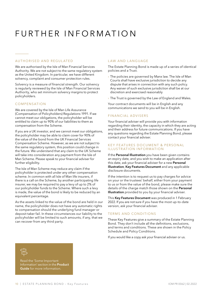## FURTHER INFORMATION

#### Authorised and regulated

We are authorised by the Isle of Man Financial Services Authority. We are not subject to the same regulatory system as the United Kingdom. In particular, we have different solvency, complaint and consumer protection rules.

Solvency is a measure of financial strength. Our solvency is regularly reviewed by the Isle of Man Financial Services Authority, who set minimum solvency margins to protect policyholders.

#### Compensation

We are covered by the Isle of Man Life Assurance (Compensation of Policyholders) Regulations 1991. If we cannot meet our obligations, the policyholder will be entitled to claim up to 90% of our liabilities to them as compensation from the Scheme.

If you are a UK investor, and we cannot meet our obligations, the policyholder may be able to claim cover for 90% of the value of the bond from the UK Financial Services Compensation Scheme. However, as we are not subject to the same regulatory system, this position could change in the future. We understand that any claim to the UK Scheme will take into consideration any payment from the Isle of Man Scheme. Please speak to your financial adviser for further eligibility.

The Isle of Man Scheme may reduce any claim if the policyholder is protected under any other compensation scheme. In common with all Isle of Man life insurers, if there is a call on the Scheme, by another participating life insurer, we may be required to pay a levy of up to 2% of our policyholder funds to the Scheme. Where such a levy is made, the value of the bond is likely to be reduced by an equivalent percentage.

As the assets linked to the value of the bond are held in our name, the policyholder does not have any automatic rights to compensation should the underlying fund manager or deposit taker fail. In these circumstances our liability to the policyholder will be limited to such amounts, if any, that we can recover from any third party.

#### LAW AND LANGUAGE

The Estate Planning Bond is made up of a series of identical policies and a Trust.

- › The policies are governed by Manx law. The Isle of Man Courts shall have exclusive jurisdiction to decide any dispute that arises in connection with any such policy. Any waiver of such exclusive jurisdiction shall be at our discretion and exercised reasonably
- $\rightarrow$  The Trust is governed by the Law of England and Wales.

Your contract documents will be in English and any communications we send to you will be in English.

#### Financial advisers

Your financial adviser will provide you with information regarding their identity, the capacity in which they are acting and their address for future communications. If you have any questions regarding the Estate Planning Bond, please contact your financial adviser.

#### KEY FEATURES DOCUMENT & PERSONAL ILLUSTRATION INFORMATION

If the Personal Illustration you have been given contains an expiry date, and you wish to make an application after this date, ask your financial adviser for a new Personal Illustration, Key Features Document and any applicable disclosure documents.

If the intention is to request us to pay charges for advice on your or the trustees' behalf, either from your payment to us or from the value of the bond, please make sure the details of the charge match those shown on the Personal Illustration provided to you by your financial adviser.

This Key Features Document was produced in 1 February 2022. If you are not sure if you have the most up-to-date version, ask your financial adviser.

#### Terms and Conditions

These Key Features give a summary of the Estate Planning Bond. They don't include all the definitions, exclusions, and terms and conditions. These are shown in the Policy Schedule and Policy Conditions.

If you would like a copy ask your financial adviser or us.

Read the 'Some Important Information' section in the Product Guide for more information.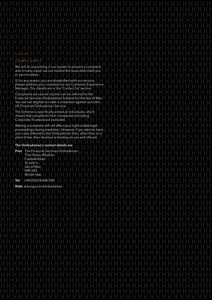### COMPLAINTS

We will do everything in our power to prevent a complaint and in many cases, we can resolve the issue direct with you or your trustees.

If, for any reason, you are dissatisfied with our service, please address your complaint to our Customer Experience Manager. Our details are in the 'Contact Us' section.

Complaints we cannot resolve can be referred to the Financial Services Ombudsman Scheme for the Isle of Man. You are not eligible to make a complaint against us to the UK Financial Ombudsman Service.

The Scheme is specifically aimed at individuals, which means that complaints from companies (including Corporate Trustees) are excluded.

Making a complaint will not affect your right to take legal proceedings during mediation. However, if you elect to have your case referred to the Ombudsman then, other than on a point of law, their decision is binding on you and Utmost.

#### The Ombudsman's contact details are:

Post: The Financial Services Ombudsman Thie Slieau Whallian Foxdale Road St John's Isle of Man IM4 3AS British Isles

Tel:  $+44(0)1624686500$ 

Web: www.gov.im/ombudsman